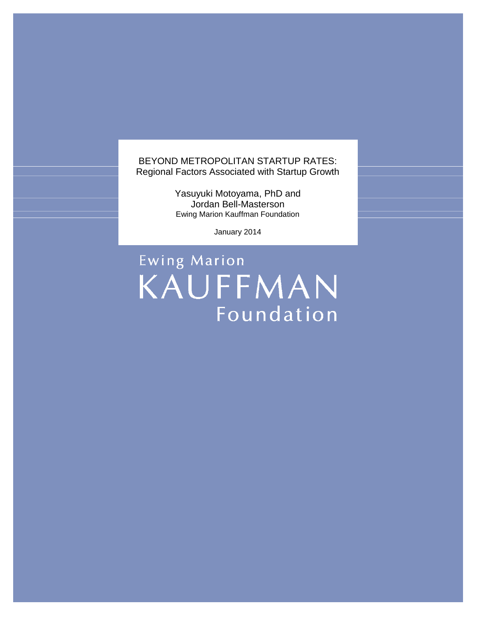BEYOND METROPOLITAN STARTUP RATES: Regional Factors Associated with Startup Growth

> Yasuyuki Motoyama, PhD and Jordan Bell-Masterson Ewing Marion Kauffman Foundation

> > January 2014

Ewing Marion KAUFFMAN Foundation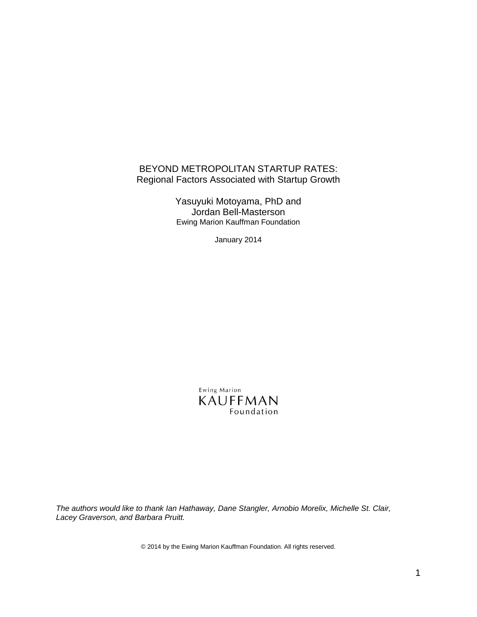## BEYOND METROPOLITAN STARTUP RATES: Regional Factors Associated with Startup Growth

Yasuyuki Motoyama, PhD and Jordan Bell-Masterson Ewing Marion Kauffman Foundation

January 2014

Ewing Marion KAUFFMAN Foundation

*The authors would like to thank Ian Hathaway, Dane Stangler, Arnobio Morelix, Michelle St. Clair, Lacey Graverson, and Barbara Pruitt.*

© 2014 by the Ewing Marion Kauffman Foundation. All rights reserved.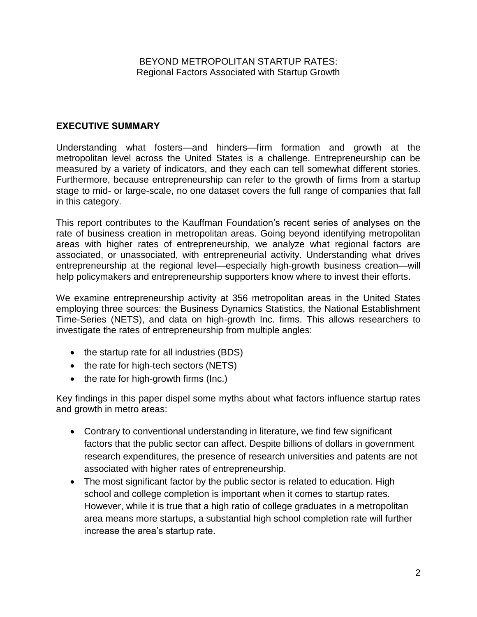### **EXECUTIVE SUMMARY**

Understanding what fosters—and hinders—firm formation and growth at the metropolitan level across the United States is a challenge. Entrepreneurship can be measured by a variety of indicators, and they each can tell somewhat different stories. Furthermore, because entrepreneurship can refer to the growth of firms from a startup stage to mid- or large-scale, no one dataset covers the full range of companies that fall in this category.

This report contributes to the Kauffman Foundation's recent series of analyses on the rate of business creation in metropolitan areas. Going beyond identifying metropolitan areas with higher rates of entrepreneurship, we analyze what regional factors are associated, or unassociated, with entrepreneurial activity. Understanding what drives entrepreneurship at the regional level—especially high-growth business creation—will help policymakers and entrepreneurship supporters know where to invest their efforts.

We examine entrepreneurship activity at 356 metropolitan areas in the United States employing three sources: the Business Dynamics Statistics, the National Establishment Time-Series (NETS), and data on high-growth Inc. firms. This allows researchers to investigate the rates of entrepreneurship from multiple angles:

- $\bullet$  the startup rate for all industries (BDS)
- the rate for high-tech sectors (NETS)
- $\bullet$  the rate for high-growth firms (Inc.)

Key findings in this paper dispel some myths about what factors influence startup rates and growth in metro areas:

- Contrary to conventional understanding in literature, we find few significant factors that the public sector can affect. Despite billions of dollars in government research expenditures, the presence of research universities and patents are not associated with higher rates of entrepreneurship.
- The most significant factor by the public sector is related to education. High school and college completion is important when it comes to startup rates. However, while it is true that a high ratio of college graduates in a metropolitan area means more startups, a substantial high school completion rate will further increase the area's startup rate.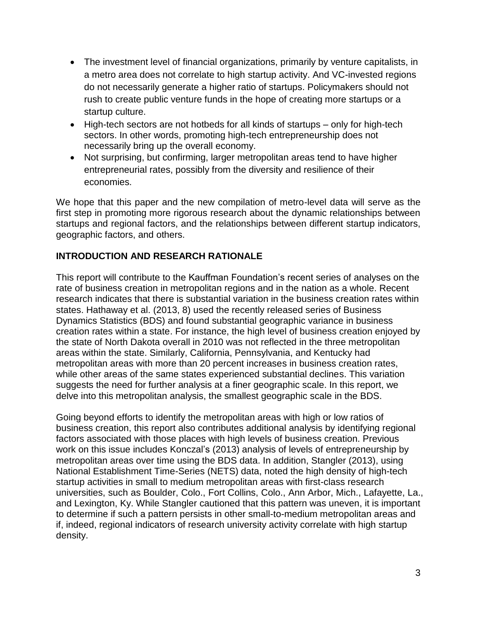- The investment level of financial organizations, primarily by venture capitalists, in a metro area does not correlate to high startup activity. And VC-invested regions do not necessarily generate a higher ratio of startups. Policymakers should not rush to create public venture funds in the hope of creating more startups or a startup culture.
- High-tech sectors are not hotbeds for all kinds of startups only for high-tech sectors. In other words, promoting high-tech entrepreneurship does not necessarily bring up the overall economy.
- Not surprising, but confirming, larger metropolitan areas tend to have higher entrepreneurial rates, possibly from the diversity and resilience of their economies.

We hope that this paper and the new compilation of metro-level data will serve as the first step in promoting more rigorous research about the dynamic relationships between startups and regional factors, and the relationships between different startup indicators, geographic factors, and others.

# **INTRODUCTION AND RESEARCH RATIONALE**

This report will contribute to the Kauffman Foundation's recent series of analyses on the rate of business creation in metropolitan regions and in the nation as a whole. Recent research indicates that there is substantial variation in the business creation rates within states. Hathaway et al. (2013, 8) used the recently released series of Business Dynamics Statistics (BDS) and found substantial geographic variance in business creation rates within a state. For instance, the high level of business creation enjoyed by the state of North Dakota overall in 2010 was not reflected in the three metropolitan areas within the state. Similarly, California, Pennsylvania, and Kentucky had metropolitan areas with more than 20 percent increases in business creation rates, while other areas of the same states experienced substantial declines. This variation suggests the need for further analysis at a finer geographic scale. In this report, we delve into this metropolitan analysis, the smallest geographic scale in the BDS.

Going beyond efforts to identify the metropolitan areas with high or low ratios of business creation, this report also contributes additional analysis by identifying regional factors associated with those places with high levels of business creation. Previous work on this issue includes Konczal's (2013) analysis of levels of entrepreneurship by metropolitan areas over time using the BDS data. In addition, Stangler (2013), using National Establishment Time-Series (NETS) data, noted the high density of high-tech startup activities in small to medium metropolitan areas with first-class research universities, such as Boulder, Colo., Fort Collins, Colo., Ann Arbor, Mich., Lafayette, La., and Lexington, Ky. While Stangler cautioned that this pattern was uneven, it is important to determine if such a pattern persists in other small-to-medium metropolitan areas and if, indeed, regional indicators of research university activity correlate with high startup density.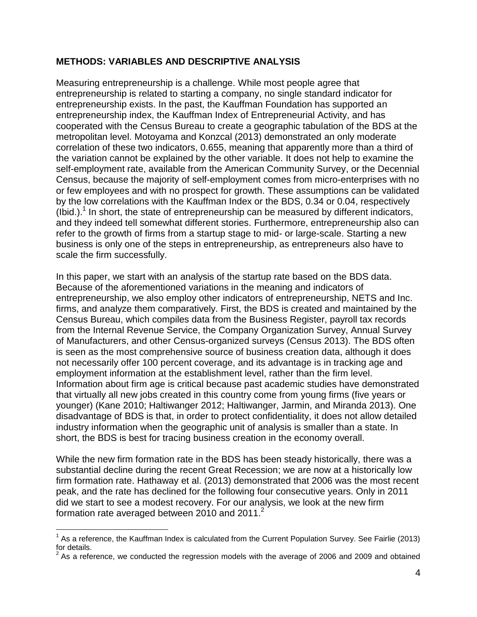### **METHODS: VARIABLES AND DESCRIPTIVE ANALYSIS**

Measuring entrepreneurship is a challenge. While most people agree that entrepreneurship is related to starting a company, no single standard indicator for entrepreneurship exists. In the past, the Kauffman Foundation has supported an entrepreneurship index, the Kauffman Index of Entrepreneurial Activity, and has cooperated with the Census Bureau to create a geographic tabulation of the BDS at the metropolitan level. Motoyama and Konzcal (2013) demonstrated an only moderate correlation of these two indicators, 0.655, meaning that apparently more than a third of the variation cannot be explained by the other variable. It does not help to examine the self-employment rate, available from the American Community Survey, or the Decennial Census, because the majority of self-employment comes from micro-enterprises with no or few employees and with no prospect for growth. These assumptions can be validated by the low correlations with the Kauffman Index or the BDS, 0.34 or 0.04, respectively  $($ Ibid.). $<sup>1</sup>$  In short, the state of entrepreneurship can be measured by different indicators,</sup> and they indeed tell somewhat different stories. Furthermore, entrepreneurship also can refer to the growth of firms from a startup stage to mid- or large-scale. Starting a new business is only one of the steps in entrepreneurship, as entrepreneurs also have to scale the firm successfully.

In this paper, we start with an analysis of the startup rate based on the BDS data. Because of the aforementioned variations in the meaning and indicators of entrepreneurship, we also employ other indicators of entrepreneurship, NETS and Inc. firms, and analyze them comparatively. First, the BDS is created and maintained by the Census Bureau, which compiles data from the Business Register, payroll tax records from the Internal Revenue Service, the Company Organization Survey, Annual Survey of Manufacturers, and other Census-organized surveys (Census 2013). The BDS often is seen as the most comprehensive source of business creation data, although it does not necessarily offer 100 percent coverage, and its advantage is in tracking age and employment information at the establishment level, rather than the firm level. Information about firm age is critical because past academic studies have demonstrated that virtually all new jobs created in this country come from young firms (five years or younger) (Kane 2010; Haltiwanger 2012; Haltiwanger, Jarmin, and Miranda 2013). One disadvantage of BDS is that, in order to protect confidentiality, it does not allow detailed industry information when the geographic unit of analysis is smaller than a state. In short, the BDS is best for tracing business creation in the economy overall.

While the new firm formation rate in the BDS has been steady historically, there was a substantial decline during the recent Great Recession; we are now at a historically low firm formation rate. Hathaway et al. (2013) demonstrated that 2006 was the most recent peak, and the rate has declined for the following four consecutive years. Only in 2011 did we start to see a modest recovery. For our analysis, we look at the new firm formation rate averaged between 2010 and  $2011<sup>2</sup>$ 

 $\overline{a}$ 

<sup>&</sup>lt;sup>1</sup> As a reference, the Kauffman Index is calculated from the Current Population Survey. See Fairlie (2013) for details.

 $2$  As a reference, we conducted the regression models with the average of 2006 and 2009 and obtained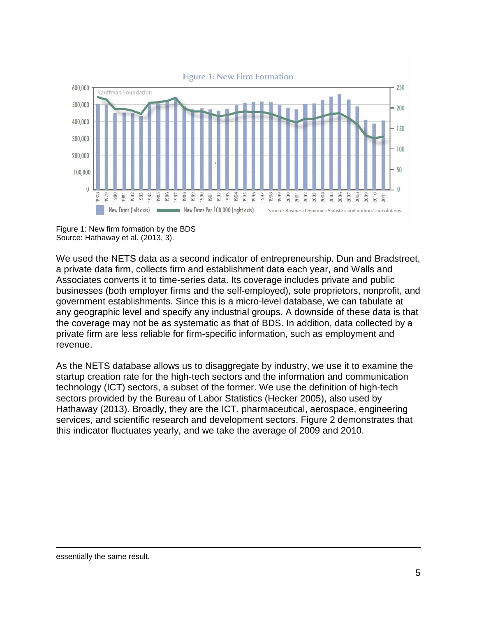

Figure 1: New firm formation by the BDS Source: Hathaway et al. (2013, 3).

We used the NETS data as a second indicator of entrepreneurship. Dun and Bradstreet, a private data firm, collects firm and establishment data each year, and Walls and Associates converts it to time-series data. Its coverage includes private and public businesses (both employer firms and the self-employed), sole proprietors, nonprofit, and government establishments. Since this is a micro-level database, we can tabulate at any geographic level and specify any industrial groups. A downside of these data is that the coverage may not be as systematic as that of BDS. In addition, data collected by a private firm are less reliable for firm-specific information, such as employment and revenue.

As the NETS database allows us to disaggregate by industry, we use it to examine the startup creation rate for the high-tech sectors and the information and communication technology (ICT) sectors, a subset of the former. We use the definition of high-tech sectors provided by the Bureau of Labor Statistics (Hecker 2005), also used by Hathaway (2013). Broadly, they are the ICT, pharmaceutical, aerospace, engineering services, and scientific research and development sectors. Figure 2 demonstrates that this indicator fluctuates yearly, and we take the average of 2009 and 2010.

 $\overline{a}$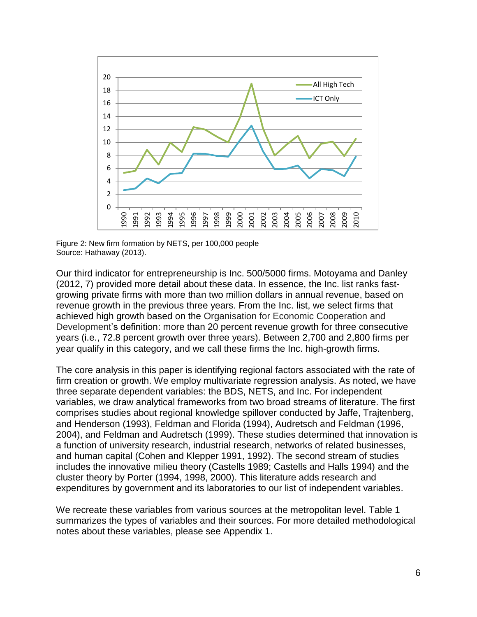

Figure 2: New firm formation by NETS, per 100,000 people Source: Hathaway (2013).

Our third indicator for entrepreneurship is Inc. 500/5000 firms. Motoyama and Danley (2012, 7) provided more detail about these data. In essence, the Inc. list ranks fastgrowing private firms with more than two million dollars in annual revenue, based on revenue growth in the previous three years. From the Inc. list, we select firms that achieved high growth based on the Organisation for Economic Cooperation and Development's definition: more than 20 percent revenue growth for three consecutive years (i.e., 72.8 percent growth over three years). Between 2,700 and 2,800 firms per year qualify in this category, and we call these firms the Inc. high-growth firms.

The core analysis in this paper is identifying regional factors associated with the rate of firm creation or growth. We employ multivariate regression analysis. As noted, we have three separate dependent variables: the BDS, NETS, and Inc. For independent variables, we draw analytical frameworks from two broad streams of literature. The first comprises studies about regional knowledge spillover conducted by Jaffe, Trajtenberg, and Henderson (1993), Feldman and Florida (1994), Audretsch and Feldman (1996, 2004), and Feldman and Audretsch (1999). These studies determined that innovation is a function of university research, industrial research, networks of related businesses, and human capital (Cohen and Klepper 1991, 1992). The second stream of studies includes the innovative milieu theory (Castells 1989; Castells and Halls 1994) and the cluster theory by Porter (1994, 1998, 2000). This literature adds research and expenditures by government and its laboratories to our list of independent variables.

We recreate these variables from various sources at the metropolitan level. Table 1 summarizes the types of variables and their sources. For more detailed methodological notes about these variables, please see Appendix 1.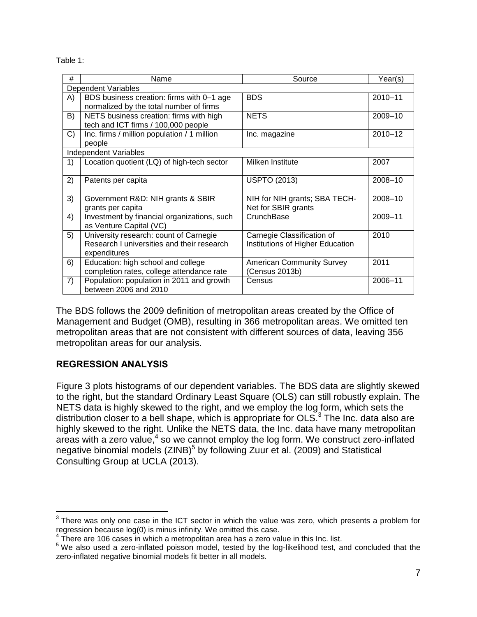Table 1:

| #  | Name                                        | Source                           | Year(s) |  |  |  |  |  |  |
|----|---------------------------------------------|----------------------------------|---------|--|--|--|--|--|--|
|    | <b>Dependent Variables</b>                  |                                  |         |  |  |  |  |  |  |
| A) | BDS business creation: firms with 0-1 age   | <b>BDS</b>                       | 2010-11 |  |  |  |  |  |  |
|    | normalized by the total number of firms     |                                  |         |  |  |  |  |  |  |
| B) | NETS business creation: firms with high     | <b>NETS</b>                      | 2009-10 |  |  |  |  |  |  |
|    | tech and ICT firms / 100,000 people         |                                  |         |  |  |  |  |  |  |
| C) | Inc. firms / million population / 1 million | Inc. magazine                    | 2010-12 |  |  |  |  |  |  |
|    | people                                      |                                  |         |  |  |  |  |  |  |
|    | <b>Independent Variables</b>                |                                  |         |  |  |  |  |  |  |
| 1) | Location quotient (LQ) of high-tech sector  | Milken Institute                 | 2007    |  |  |  |  |  |  |
|    |                                             |                                  |         |  |  |  |  |  |  |
| 2) | Patents per capita                          | <b>USPTO (2013)</b>              | 2008-10 |  |  |  |  |  |  |
|    |                                             |                                  |         |  |  |  |  |  |  |
| 3) | Government R&D: NIH grants & SBIR           | NIH for NIH grants; SBA TECH-    | 2008-10 |  |  |  |  |  |  |
|    | grants per capita                           | Net for SBIR grants              |         |  |  |  |  |  |  |
| 4) | Investment by financial organizations, such | CrunchBase                       | 2009-11 |  |  |  |  |  |  |
|    | as Venture Capital (VC)                     |                                  |         |  |  |  |  |  |  |
| 5) | University research: count of Carnegie      | Carnegie Classification of       | 2010    |  |  |  |  |  |  |
|    | Research I universities and their research  | Institutions of Higher Education |         |  |  |  |  |  |  |
|    | expenditures                                |                                  |         |  |  |  |  |  |  |
| 6) | Education: high school and college          | <b>American Community Survey</b> | 2011    |  |  |  |  |  |  |
|    | completion rates, college attendance rate   | (Census 2013b)                   |         |  |  |  |  |  |  |
| 7) | Population: population in 2011 and growth   | Census                           | 2006-11 |  |  |  |  |  |  |
|    | between 2006 and 2010                       |                                  |         |  |  |  |  |  |  |

The BDS follows the 2009 definition of metropolitan areas created by the Office of Management and Budget (OMB), resulting in 366 metropolitan areas. We omitted ten metropolitan areas that are not consistent with different sources of data, leaving 356 metropolitan areas for our analysis.

### **REGRESSION ANALYSIS**

Figure 3 plots histograms of our dependent variables. The BDS data are slightly skewed to the right, but the standard Ordinary Least Square (OLS) can still robustly explain. The NETS data is highly skewed to the right, and we employ the log form, which sets the distribution closer to a bell shape, which is appropriate for OLS.<sup>3</sup> The Inc. data also are highly skewed to the right. Unlike the NETS data, the Inc. data have many metropolitan areas with a zero value,<sup>4</sup> so we cannot employ the log form. We construct zero-inflated negative binomial models (ZINB)<sup>5</sup> by following Zuur et al. (2009) and Statistical Consulting Group at UCLA (2013).

 3 There was only one case in the ICT sector in which the value was zero, which presents a problem for regression because log(0) is minus infinity. We omitted this case.

 $4$  There are 106 cases in which a metropolitan area has a zero value in this Inc. list.

<sup>&</sup>lt;sup>5</sup> We also used a zero-inflated poisson model, tested by the log-likelihood test, and concluded that the zero-inflated negative binomial models fit better in all models.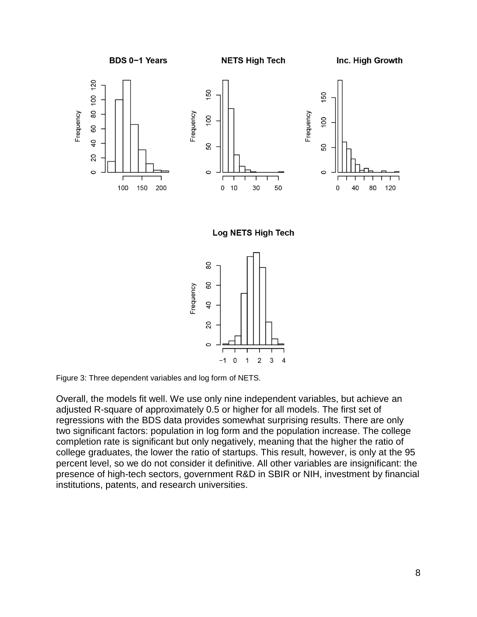

Figure 3: Three dependent variables and log form of NETS.

Overall, the models fit well. We use only nine independent variables, but achieve an adjusted R-square of approximately 0.5 or higher for all models. The first set of regressions with the BDS data provides somewhat surprising results. There are only two significant factors: population in log form and the population increase. The college completion rate is significant but only negatively, meaning that the higher the ratio of college graduates, the lower the ratio of startups. This result, however, is only at the 95 percent level, so we do not consider it definitive. All other variables are insignificant: the presence of high-tech sectors, government R&D in SBIR or NIH, investment by financial institutions, patents, and research universities.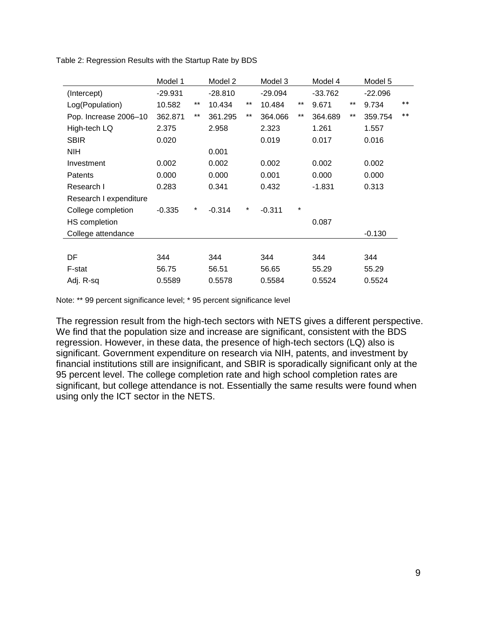|                        | Model 1   |        | Model 2   |          | Model 3   |        | Model 4   |       | Model 5   |       |
|------------------------|-----------|--------|-----------|----------|-----------|--------|-----------|-------|-----------|-------|
| (Intercept)            | $-29.931$ |        | $-28.810$ |          | $-29.094$ |        | $-33.762$ |       | $-22.096$ |       |
| Log(Population)        | 10.582    | $***$  | 10.434    | $***$    | 10.484    | $***$  | 9.671     | $***$ | 9.734     | $***$ |
| Pop. Increase 2006-10  | 362.871   | $***$  | 361.295   | $***$    | 364.066   | $***$  | 364.689   | $***$ | 359.754   | $***$ |
| High-tech LQ           | 2.375     |        | 2.958     |          | 2.323     |        | 1.261     |       | 1.557     |       |
| <b>SBIR</b>            | 0.020     |        |           |          | 0.019     |        | 0.017     |       | 0.016     |       |
| NIH                    |           |        | 0.001     |          |           |        |           |       |           |       |
| Investment             | 0.002     |        | 0.002     |          | 0.002     |        | 0.002     |       | 0.002     |       |
| <b>Patents</b>         | 0.000     |        | 0.000     |          | 0.001     |        | 0.000     |       | 0.000     |       |
| Research I             | 0.283     |        | 0.341     |          | 0.432     |        | $-1.831$  |       | 0.313     |       |
| Research I expenditure |           |        |           |          |           |        |           |       |           |       |
| College completion     | $-0.335$  | $\ast$ | $-0.314$  | $^\star$ | $-0.311$  | $\ast$ |           |       |           |       |
| HS completion          |           |        |           |          |           |        | 0.087     |       |           |       |
| College attendance     |           |        |           |          |           |        |           |       | $-0.130$  |       |
|                        |           |        |           |          |           |        |           |       |           |       |
| DF                     | 344       |        | 344       |          | 344       |        | 344       |       | 344       |       |
| F-stat                 | 56.75     |        | 56.51     |          | 56.65     |        | 55.29     |       | 55.29     |       |
| Adj. R-sq              | 0.5589    |        | 0.5578    |          | 0.5584    |        | 0.5524    |       | 0.5524    |       |

Table 2: Regression Results with the Startup Rate by BDS

Note: \*\* 99 percent significance level; \* 95 percent significance level

The regression result from the high-tech sectors with NETS gives a different perspective. We find that the population size and increase are significant, consistent with the BDS regression. However, in these data, the presence of high-tech sectors (LQ) also is significant. Government expenditure on research via NIH, patents, and investment by financial institutions still are insignificant, and SBIR is sporadically significant only at the 95 percent level. The college completion rate and high school completion rates are significant, but college attendance is not. Essentially the same results were found when using only the ICT sector in the NETS.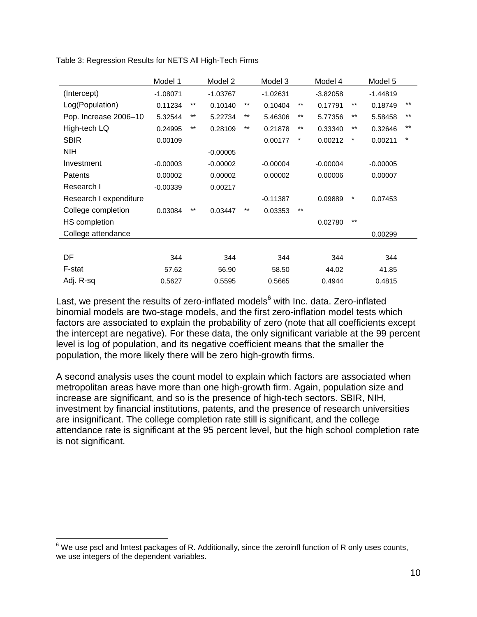|                        | Model 1    |              | Model 2    |       | Model 3    |          | Model 4    |         | Model 5    |       |
|------------------------|------------|--------------|------------|-------|------------|----------|------------|---------|------------|-------|
| (Intercept)            | $-1.08071$ |              | $-1.03767$ |       | $-1.02631$ |          | $-3.82058$ |         | $-1.44819$ |       |
| Log(Population)        | 0.11234    | $***$        | 0.10140    | $***$ | 0.10404    | $***$    | 0.17791    | $***$   | 0.18749    | $***$ |
| Pop. Increase 2006-10  | 5.32544    | $***$        | 5.22734    | $***$ | 5.46306    | $***$    | 5.77356    | $***$   | 5.58458    | **    |
| High-tech LQ           | 0.24995    | $***$        | 0.28109    | $***$ | 0.21878    | $***$    | 0.33340    | $***$   | 0.32646    | $***$ |
| <b>SBIR</b>            | 0.00109    |              |            |       | 0.00177    | $^\star$ | 0.00212    | $\star$ | 0.00211    | *     |
| <b>NIH</b>             |            |              | $-0.00005$ |       |            |          |            |         |            |       |
| Investment             | $-0.00003$ |              | $-0.00002$ |       | $-0.00004$ |          | $-0.00004$ |         | $-0.00005$ |       |
| Patents                | 0.00002    |              | 0.00002    |       | 0.00002    |          | 0.00006    |         | 0.00007    |       |
| Research I             | $-0.00339$ |              | 0.00217    |       |            |          |            |         |            |       |
| Research I expenditure |            |              |            |       | $-0.11387$ |          | 0.09889    | $\ast$  | 0.07453    |       |
| College completion     | 0.03084    | $\star\star$ | 0.03447    | $***$ | 0.03353    | $***$    |            |         |            |       |
| HS completion          |            |              |            |       |            |          | 0.02780    | $***$   |            |       |
| College attendance     |            |              |            |       |            |          |            |         | 0.00299    |       |
|                        |            |              |            |       |            |          |            |         |            |       |
| DF                     | 344        |              | 344        |       | 344        |          | 344        |         | 344        |       |
| F-stat                 | 57.62      |              | 56.90      |       | 58.50      |          | 44.02      |         | 41.85      |       |
| Adj. R-sq              | 0.5627     |              | 0.5595     |       | 0.5665     |          | 0.4944     |         | 0.4815     |       |

Table 3: Regression Results for NETS All High-Tech Firms

Last, we present the results of zero-inflated models $6$  with Inc. data. Zero-inflated binomial models are two-stage models, and the first zero-inflation model tests which factors are associated to explain the probability of zero (note that all coefficients except the intercept are negative). For these data, the only significant variable at the 99 percent level is log of population, and its negative coefficient means that the smaller the population, the more likely there will be zero high-growth firms.

A second analysis uses the count model to explain which factors are associated when metropolitan areas have more than one high-growth firm. Again, population size and increase are significant, and so is the presence of high-tech sectors. SBIR, NIH, investment by financial institutions, patents, and the presence of research universities are insignificant. The college completion rate still is significant, and the college attendance rate is significant at the 95 percent level, but the high school completion rate is not significant.

 $\overline{a}$ 

 $^6$  We use pscl and lmtest packages of R. Additionally, since the zeroinfl function of R only uses counts, we use integers of the dependent variables.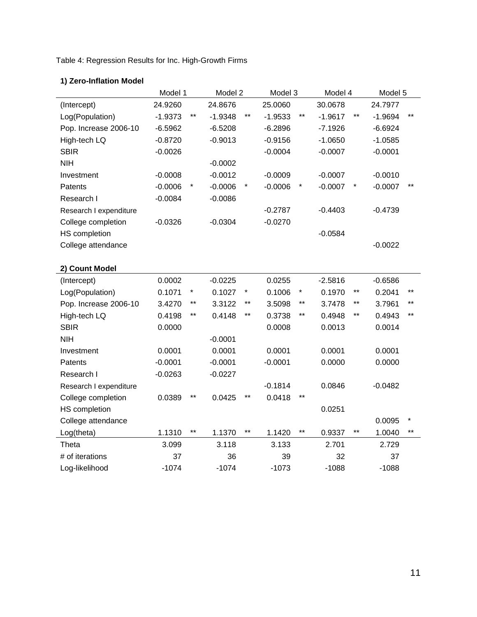Table 4: Regression Results for Inc. High-Growth Firms

### **1) Zero-Inflation Model**

|                        | Model 1   |         | Model 2   |       | Model 3   |        | Model 4   |                 | Model 5   |         |
|------------------------|-----------|---------|-----------|-------|-----------|--------|-----------|-----------------|-----------|---------|
| (Intercept)            | 24.9260   |         | 24.8676   |       | 25.0060   |        | 30.0678   |                 | 24.7977   |         |
| Log(Population)        | $-1.9373$ | $***$   | $-1.9348$ | $***$ | $-1.9533$ | $***$  | $-1.9617$ | $^{\star\star}$ | $-1.9694$ | $***$   |
| Pop. Increase 2006-10  | $-6.5962$ |         | $-6.5208$ |       | $-6.2896$ |        | $-7.1926$ |                 | $-6.6924$ |         |
| High-tech LQ           | $-0.8720$ |         | $-0.9013$ |       | $-0.9156$ |        | $-1.0650$ |                 | $-1.0585$ |         |
| <b>SBIR</b>            | $-0.0026$ |         |           |       | $-0.0004$ |        | $-0.0007$ |                 | $-0.0001$ |         |
| <b>NIH</b>             |           |         | $-0.0002$ |       |           |        |           |                 |           |         |
| Investment             | $-0.0008$ |         | $-0.0012$ |       | $-0.0009$ |        | $-0.0007$ |                 | $-0.0010$ |         |
| Patents                | $-0.0006$ | $\star$ | $-0.0006$ |       | $-0.0006$ | $\ast$ | $-0.0007$ | $\ast$          | $-0.0007$ | $***$   |
| Research I             | $-0.0084$ |         | $-0.0086$ |       |           |        |           |                 |           |         |
| Research I expenditure |           |         |           |       | $-0.2787$ |        | $-0.4403$ |                 | $-0.4739$ |         |
| College completion     | $-0.0326$ |         | $-0.0304$ |       | $-0.0270$ |        |           |                 |           |         |
| <b>HS</b> completion   |           |         |           |       |           |        | $-0.0584$ |                 |           |         |
| College attendance     |           |         |           |       |           |        |           |                 | $-0.0022$ |         |
|                        |           |         |           |       |           |        |           |                 |           |         |
| 2) Count Model         |           |         |           |       |           |        |           |                 |           |         |
| (Intercept)            | 0.0002    |         | $-0.0225$ |       | 0.0255    |        | $-2.5816$ |                 | $-0.6586$ |         |
| Log(Population)        | 0.1071    | $\ast$  | 0.1027    |       | 0.1006    | $\ast$ | 0.1970    | $^{\star\star}$ | 0.2041    | $***$   |
| Pop. Increase 2006-10  | 3.4270    | $***$   | 3.3122    | $***$ | 3.5098    | $***$  | 3.7478    | $^{\star\star}$ | 3.7961    | $***$   |
| High-tech LQ           | 0.4198    | $***$   | 0.4148    | $***$ | 0.3738    | $***$  | 0.4948    | **              | 0.4943    | $***$   |
| <b>SBIR</b>            | 0.0000    |         |           |       | 0.0008    |        | 0.0013    |                 | 0.0014    |         |
| <b>NIH</b>             |           |         | $-0.0001$ |       |           |        |           |                 |           |         |
| Investment             | 0.0001    |         | 0.0001    |       | 0.0001    |        | 0.0001    |                 | 0.0001    |         |
| Patents                | $-0.0001$ |         | $-0.0001$ |       | $-0.0001$ |        | 0.0000    |                 | 0.0000    |         |
| Research I             | $-0.0263$ |         | $-0.0227$ |       |           |        |           |                 |           |         |
| Research I expenditure |           |         |           |       | $-0.1814$ |        | 0.0846    |                 | $-0.0482$ |         |
| College completion     | 0.0389    | $***$   | 0.0425    | $***$ | 0.0418    | $***$  |           |                 |           |         |
| <b>HS</b> completion   |           |         |           |       |           |        | 0.0251    |                 |           |         |
| College attendance     |           |         |           |       |           |        |           |                 | 0.0095    | $\star$ |
| Log(theta)             | 1.1310    | $***$   | 1.1370    | $***$ | 1.1420    | $***$  | 0.9337    | $\star\star$    | 1.0040    | $***$   |
| Theta                  | 3.099     |         | 3.118     |       | 3.133     |        | 2.701     |                 | 2.729     |         |
| # of iterations        | 37        |         | 36        |       | 39        |        | 32        |                 | 37        |         |
| Log-likelihood         | $-1074$   |         | $-1074$   |       | $-1073$   |        | $-1088$   |                 | $-1088$   |         |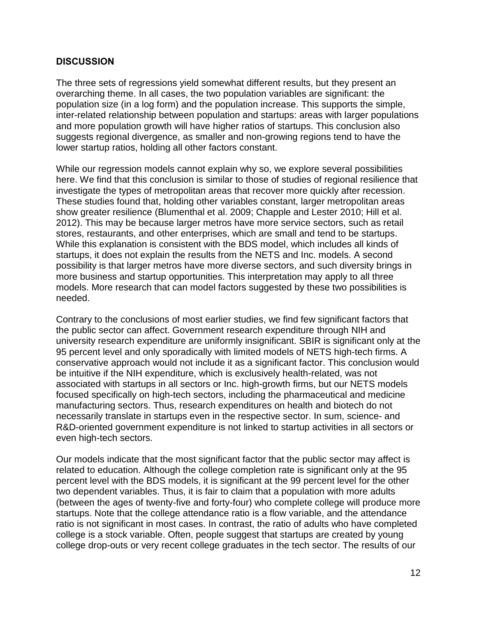### **DISCUSSION**

The three sets of regressions yield somewhat different results, but they present an overarching theme. In all cases, the two population variables are significant: the population size (in a log form) and the population increase. This supports the simple, inter-related relationship between population and startups: areas with larger populations and more population growth will have higher ratios of startups. This conclusion also suggests regional divergence, as smaller and non-growing regions tend to have the lower startup ratios, holding all other factors constant.

While our regression models cannot explain why so, we explore several possibilities here. We find that this conclusion is similar to those of studies of regional resilience that investigate the types of metropolitan areas that recover more quickly after recession. These studies found that, holding other variables constant, larger metropolitan areas show greater resilience (Blumenthal et al. 2009; Chapple and Lester 2010; Hill et al. 2012). This may be because larger metros have more service sectors, such as retail stores, restaurants, and other enterprises, which are small and tend to be startups. While this explanation is consistent with the BDS model, which includes all kinds of startups, it does not explain the results from the NETS and Inc. models. A second possibility is that larger metros have more diverse sectors, and such diversity brings in more business and startup opportunities. This interpretation may apply to all three models. More research that can model factors suggested by these two possibilities is needed.

Contrary to the conclusions of most earlier studies, we find few significant factors that the public sector can affect. Government research expenditure through NIH and university research expenditure are uniformly insignificant. SBIR is significant only at the 95 percent level and only sporadically with limited models of NETS high-tech firms. A conservative approach would not include it as a significant factor. This conclusion would be intuitive if the NIH expenditure, which is exclusively health-related, was not associated with startups in all sectors or Inc. high-growth firms, but our NETS models focused specifically on high-tech sectors, including the pharmaceutical and medicine manufacturing sectors. Thus, research expenditures on health and biotech do not necessarily translate in startups even in the respective sector. In sum, science- and R&D-oriented government expenditure is not linked to startup activities in all sectors or even high-tech sectors.

Our models indicate that the most significant factor that the public sector may affect is related to education. Although the college completion rate is significant only at the 95 percent level with the BDS models, it is significant at the 99 percent level for the other two dependent variables. Thus, it is fair to claim that a population with more adults (between the ages of twenty-five and forty-four) who complete college will produce more startups. Note that the college attendance ratio is a flow variable, and the attendance ratio is not significant in most cases. In contrast, the ratio of adults who have completed college is a stock variable. Often, people suggest that startups are created by young college drop-outs or very recent college graduates in the tech sector. The results of our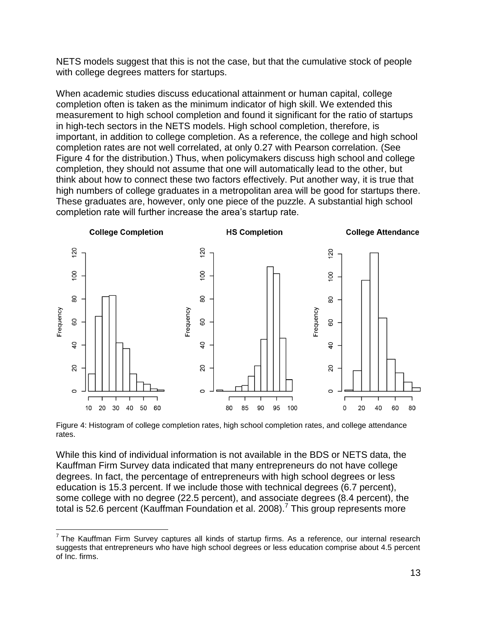NETS models suggest that this is not the case, but that the cumulative stock of people with college degrees matters for startups.

When academic studies discuss educational attainment or human capital, college completion often is taken as the minimum indicator of high skill. We extended this measurement to high school completion and found it significant for the ratio of startups in high-tech sectors in the NETS models. High school completion, therefore, is important, in addition to college completion. As a reference, the college and high school completion rates are not well correlated, at only 0.27 with Pearson correlation. (See Figure 4 for the distribution.) Thus, when policymakers discuss high school and college completion, they should not assume that one will automatically lead to the other, but think about how to connect these two factors effectively. Put another way, it is true that high numbers of college graduates in a metropolitan area will be good for startups there. These graduates are, however, only one piece of the puzzle. A substantial high school completion rate will further increase the area's startup rate.



Figure 4: Histogram of college completion rates, high school completion rates, and college attendance rates.

While this kind of individual information is not available in the BDS or NETS data, the Kauffman Firm Survey data indicated that many entrepreneurs do not have college degrees. In fact, the percentage of entrepreneurs with high school degrees or less education is 15.3 percent. If we include those with technical degrees (6.7 percent), some college with no degree (22.5 percent), and associate degrees (8.4 percent), the total is 52.6 percent (Kauffman Foundation et al. 2008).<sup>7</sup> This group represents more

 $\overline{a}$ 

 $7$ The Kauffman Firm Survey captures all kinds of startup firms. As a reference, our internal research suggests that entrepreneurs who have high school degrees or less education comprise about 4.5 percent of Inc. firms.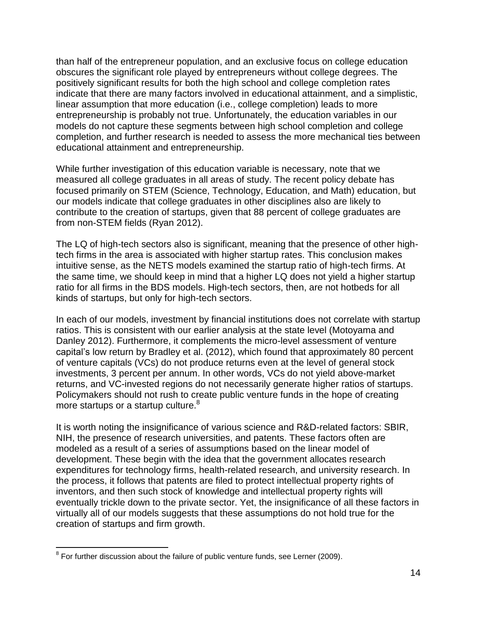than half of the entrepreneur population, and an exclusive focus on college education obscures the significant role played by entrepreneurs without college degrees. The positively significant results for both the high school and college completion rates indicate that there are many factors involved in educational attainment, and a simplistic, linear assumption that more education (i.e., college completion) leads to more entrepreneurship is probably not true. Unfortunately, the education variables in our models do not capture these segments between high school completion and college completion, and further research is needed to assess the more mechanical ties between educational attainment and entrepreneurship.

While further investigation of this education variable is necessary, note that we measured all college graduates in all areas of study. The recent policy debate has focused primarily on STEM (Science, Technology, Education, and Math) education, but our models indicate that college graduates in other disciplines also are likely to contribute to the creation of startups, given that 88 percent of college graduates are from non-STEM fields (Ryan 2012).

The LQ of high-tech sectors also is significant, meaning that the presence of other hightech firms in the area is associated with higher startup rates. This conclusion makes intuitive sense, as the NETS models examined the startup ratio of high-tech firms. At the same time, we should keep in mind that a higher LQ does not yield a higher startup ratio for all firms in the BDS models. High-tech sectors, then, are not hotbeds for all kinds of startups, but only for high-tech sectors.

In each of our models, investment by financial institutions does not correlate with startup ratios. This is consistent with our earlier analysis at the state level (Motoyama and Danley 2012). Furthermore, it complements the micro-level assessment of venture capital's low return by Bradley et al. (2012), which found that approximately 80 percent of venture capitals (VCs) do not produce returns even at the level of general stock investments, 3 percent per annum. In other words, VCs do not yield above-market returns, and VC-invested regions do not necessarily generate higher ratios of startups. Policymakers should not rush to create public venture funds in the hope of creating more startups or a startup culture.<sup>8</sup>

It is worth noting the insignificance of various science and R&D-related factors: SBIR, NIH, the presence of research universities, and patents. These factors often are modeled as a result of a series of assumptions based on the linear model of development. These begin with the idea that the government allocates research expenditures for technology firms, health-related research, and university research. In the process, it follows that patents are filed to protect intellectual property rights of inventors, and then such stock of knowledge and intellectual property rights will eventually trickle down to the private sector. Yet, the insignificance of all these factors in virtually all of our models suggests that these assumptions do not hold true for the creation of startups and firm growth.

 $\overline{a}$  $8$  For further discussion about the failure of public venture funds, see Lerner (2009).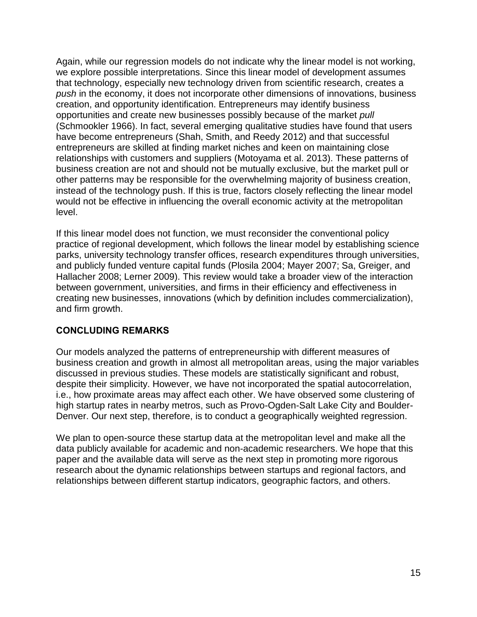Again, while our regression models do not indicate why the linear model is not working, we explore possible interpretations. Since this linear model of development assumes that technology, especially new technology driven from scientific research, creates a *push* in the economy, it does not incorporate other dimensions of innovations, business creation, and opportunity identification. Entrepreneurs may identify business opportunities and create new businesses possibly because of the market *pull* (Schmookler 1966). In fact, several emerging qualitative studies have found that users have become entrepreneurs (Shah, Smith, and Reedy 2012) and that successful entrepreneurs are skilled at finding market niches and keen on maintaining close relationships with customers and suppliers (Motoyama et al. 2013). These patterns of business creation are not and should not be mutually exclusive, but the market pull or other patterns may be responsible for the overwhelming majority of business creation, instead of the technology push. If this is true, factors closely reflecting the linear model would not be effective in influencing the overall economic activity at the metropolitan level.

If this linear model does not function, we must reconsider the conventional policy practice of regional development, which follows the linear model by establishing science parks, university technology transfer offices, research expenditures through universities, and publicly funded venture capital funds (Plosila 2004; Mayer 2007; Sa, Greiger, and Hallacher 2008; Lerner 2009). This review would take a broader view of the interaction between government, universities, and firms in their efficiency and effectiveness in creating new businesses, innovations (which by definition includes commercialization), and firm growth.

### **CONCLUDING REMARKS**

Our models analyzed the patterns of entrepreneurship with different measures of business creation and growth in almost all metropolitan areas, using the major variables discussed in previous studies. These models are statistically significant and robust, despite their simplicity. However, we have not incorporated the spatial autocorrelation, i.e., how proximate areas may affect each other. We have observed some clustering of high startup rates in nearby metros, such as Provo-Ogden-Salt Lake City and Boulder-Denver. Our next step, therefore, is to conduct a geographically weighted regression.

We plan to open-source these startup data at the metropolitan level and make all the data publicly available for academic and non-academic researchers. We hope that this paper and the available data will serve as the next step in promoting more rigorous research about the dynamic relationships between startups and regional factors, and relationships between different startup indicators, geographic factors, and others.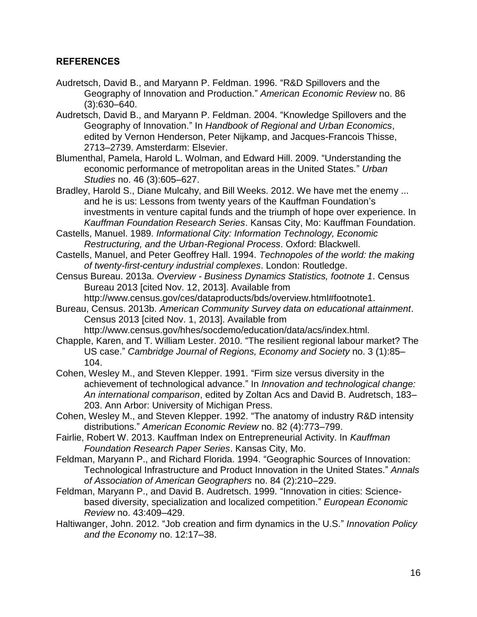### **REFERENCES**

- Audretsch, David B., and Maryann P. Feldman. 1996. "R&D Spillovers and the Geography of Innovation and Production." *American Economic Review* no. 86 (3):630–640.
- Audretsch, David B., and Maryann P. Feldman. 2004. "Knowledge Spillovers and the Geography of Innovation." In *Handbook of Regional and Urban Economics*, edited by Vernon Henderson, Peter Nijkamp, and Jacques-Francois Thisse, 2713–2739. Amsterdarm: Elsevier.
- Blumenthal, Pamela, Harold L. Wolman, and Edward Hill. 2009. "Understanding the economic performance of metropolitan areas in the United States." *Urban Studies* no. 46 (3):605–627.
- Bradley, Harold S., Diane Mulcahy, and Bill Weeks. 2012. We have met the enemy ... and he is us: Lessons from twenty years of the Kauffman Foundation's investments in venture capital funds and the triumph of hope over experience. In *Kauffman Foundation Research Series*. Kansas City, Mo: Kauffman Foundation.
- Castells, Manuel. 1989. *Informational City: Information Technology, Economic Restructuring, and the Urban-Regional Process*. Oxford: Blackwell.
- Castells, Manuel, and Peter Geoffrey Hall. 1994. *Technopoles of the world: the making of twenty-first-century industrial complexes*. London: Routledge.
- Census Bureau. 2013a. *Overview - Business Dynamics Statistics, footnote 1*. Census Bureau 2013 [cited Nov. 12, 2013]. Available from http://www.census.gov/ces/dataproducts/bds/overview.html#footnote1.
- Bureau, Census. 2013b. *American Community Survey data on educational attainment*. Census 2013 [cited Nov. 1, 2013]. Available from

http://www.census.gov/hhes/socdemo/education/data/acs/index.html.

- Chapple, Karen, and T. William Lester. 2010. "The resilient regional labour market? The US case." *Cambridge Journal of Regions, Economy and Society* no. 3 (1):85– 104.
- Cohen, Wesley M., and Steven Klepper. 1991. "Firm size versus diversity in the achievement of technological advance." In *Innovation and technological change: An international comparison*, edited by Zoltan Acs and David B. Audretsch, 183– 203. Ann Arbor: University of Michigan Press.
- Cohen, Wesley M., and Steven Klepper. 1992. "The anatomy of industry R&D intensity distributions." *American Economic Review* no. 82 (4):773–799.
- Fairlie, Robert W. 2013. Kauffman Index on Entrepreneurial Activity. In *Kauffman Foundation Research Paper Series*. Kansas City, Mo.
- Feldman, Maryann P., and Richard Florida. 1994. "Geographic Sources of Innovation: Technological Infrastructure and Product Innovation in the United States." *Annals of Association of American Geographers* no. 84 (2):210–229.
- Feldman, Maryann P., and David B. Audretsch. 1999. "Innovation in cities: Sciencebased diversity, specialization and localized competition." *European Economic Review* no. 43:409–429.
- Haltiwanger, John. 2012. "Job creation and firm dynamics in the U.S." *Innovation Policy and the Economy* no. 12:17–38.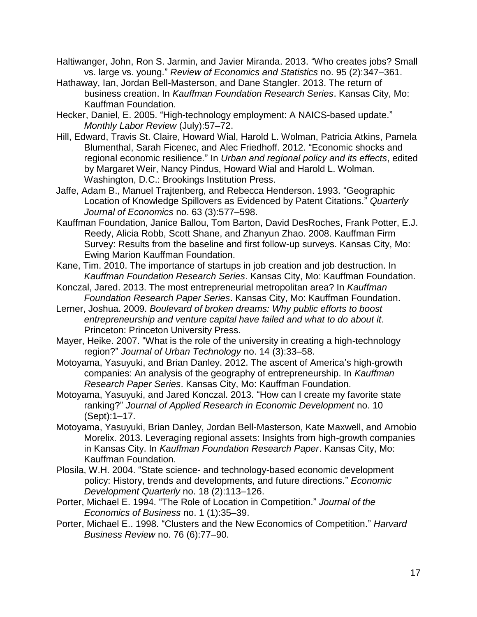Haltiwanger, John, Ron S. Jarmin, and Javier Miranda. 2013. "Who creates jobs? Small vs. large vs. young." *Review of Economics and Statistics* no. 95 (2):347–361.

- Hathaway, Ian, Jordan Bell-Masterson, and Dane Stangler. 2013. The return of business creation. In *Kauffman Foundation Research Series*. Kansas City, Mo: Kauffman Foundation.
- Hecker, Daniel, E. 2005. "High-technology employment: A NAICS-based update." *Monthly Labor Review* (July):57–72.
- Hill, Edward, Travis St. Claire, Howard Wial, Harold L. Wolman, Patricia Atkins, Pamela Blumenthal, Sarah Ficenec, and Alec Friedhoff. 2012. "Economic shocks and regional economic resilience." In *Urban and regional policy and its effects*, edited by Margaret Weir, Nancy Pindus, Howard Wial and Harold L. Wolman. Washington, D.C.: Brookings Institution Press.
- Jaffe, Adam B., Manuel Trajtenberg, and Rebecca Henderson. 1993. "Geographic Location of Knowledge Spillovers as Evidenced by Patent Citations." *Quarterly Journal of Economics* no. 63 (3):577–598.
- Kauffman Foundation, Janice Ballou, Tom Barton, David DesRoches, Frank Potter, E.J. Reedy, Alicia Robb, Scott Shane, and Zhanyun Zhao. 2008. Kauffman Firm Survey: Results from the baseline and first follow-up surveys. Kansas City, Mo: Ewing Marion Kauffman Foundation.
- Kane, Tim. 2010. The importance of startups in job creation and job destruction. In *Kauffman Foundation Research Series*. Kansas City, Mo: Kauffman Foundation.
- Konczal, Jared. 2013. The most entrepreneurial metropolitan area? In *Kauffman Foundation Research Paper Series*. Kansas City, Mo: Kauffman Foundation.
- Lerner, Joshua. 2009. *Boulevard of broken dreams: Why public efforts to boost entrepreneurship and venture capital have failed and what to do about it*. Princeton: Princeton University Press.
- Mayer, Heike. 2007. "What is the role of the university in creating a high-technology region?" *Journal of Urban Technology* no. 14 (3):33–58.
- Motoyama, Yasuyuki, and Brian Danley. 2012. The ascent of America's high-growth companies: An analysis of the geography of entrepreneurship. In *Kauffman Research Paper Series*. Kansas City, Mo: Kauffman Foundation.
- Motoyama, Yasuyuki, and Jared Konczal. 2013. "How can I create my favorite state ranking?" *Journal of Applied Research in Economic Development* no. 10 (Sept):1–17.
- Motoyama, Yasuyuki, Brian Danley, Jordan Bell-Masterson, Kate Maxwell, and Arnobio Morelix. 2013. Leveraging regional assets: Insights from high-growth companies in Kansas City. In *Kauffman Foundation Research Paper*. Kansas City, Mo: Kauffman Foundation.
- Plosila, W.H. 2004. "State science- and technology-based economic development policy: History, trends and developments, and future directions." *Economic Development Quarterly* no. 18 (2):113–126.
- Porter, Michael E. 1994. "The Role of Location in Competition." *Journal of the Economics of Business* no. 1 (1):35–39.
- Porter, Michael E.. 1998. "Clusters and the New Economics of Competition." *Harvard Business Review* no. 76 (6):77–90.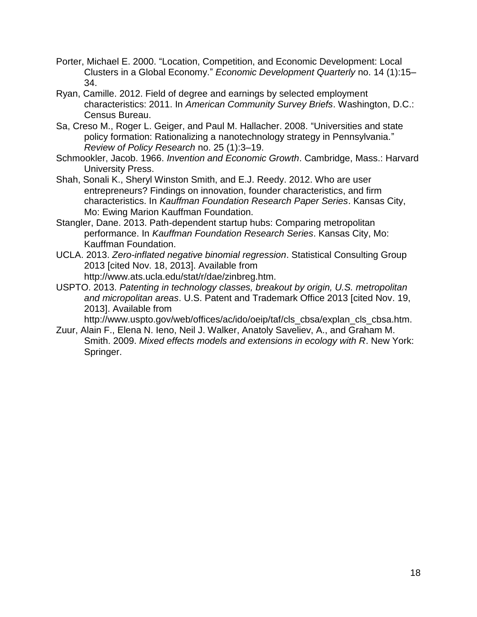- Porter, Michael E. 2000. "Location, Competition, and Economic Development: Local Clusters in a Global Economy." *Economic Development Quarterly* no. 14 (1):15– 34.
- Ryan, Camille. 2012. Field of degree and earnings by selected employment characteristics: 2011. In *American Community Survey Briefs*. Washington, D.C.: Census Bureau.
- Sa, Creso M., Roger L. Geiger, and Paul M. Hallacher. 2008. "Universities and state policy formation: Rationalizing a nanotechnology strategy in Pennsylvania." *Review of Policy Research* no. 25 (1):3–19.
- Schmookler, Jacob. 1966. *Invention and Economic Growth*. Cambridge, Mass.: Harvard University Press.
- Shah, Sonali K., Sheryl Winston Smith, and E.J. Reedy. 2012. Who are user entrepreneurs? Findings on innovation, founder characteristics, and firm characteristics. In *Kauffman Foundation Research Paper Series*. Kansas City, Mo: Ewing Marion Kauffman Foundation.
- Stangler, Dane. 2013. Path-dependent startup hubs: Comparing metropolitan performance. In *Kauffman Foundation Research Series*. Kansas City, Mo: Kauffman Foundation.
- UCLA. 2013. *Zero-inflated negative binomial regression*. Statistical Consulting Group 2013 [cited Nov. 18, 2013]. Available from http://www.ats.ucla.edu/stat/r/dae/zinbreg.htm.
- USPTO. 2013. *Patenting in technology classes, breakout by origin, U.S. metropolitan and micropolitan areas*. U.S. Patent and Trademark Office 2013 [cited Nov. 19, 2013]. Available from

http://www.uspto.gov/web/offices/ac/ido/oeip/taf/cls\_cbsa/explan\_cls\_cbsa.htm. Zuur, Alain F., Elena N. Ieno, Neil J. Walker, Anatoly Saveliev, A., and Graham M.

Smith. 2009. *Mixed effects models and extensions in ecology with R*. New York: Springer.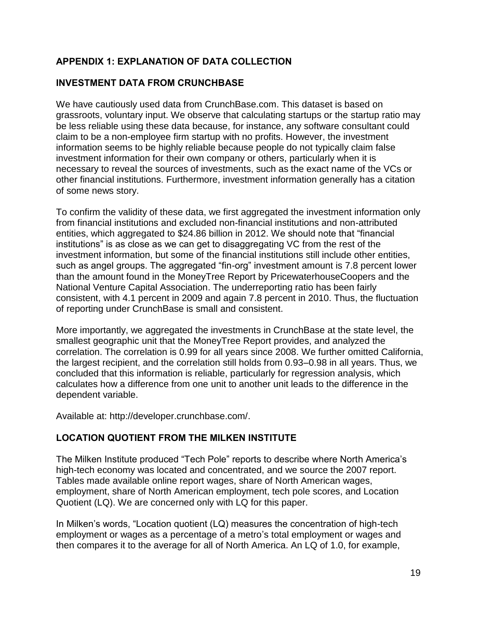# **APPENDIX 1: EXPLANATION OF DATA COLLECTION**

# **INVESTMENT DATA FROM CRUNCHBASE**

We have cautiously used data from CrunchBase.com. This dataset is based on grassroots, voluntary input. We observe that calculating startups or the startup ratio may be less reliable using these data because, for instance, any software consultant could claim to be a non-employee firm startup with no profits. However, the investment information seems to be highly reliable because people do not typically claim false investment information for their own company or others, particularly when it is necessary to reveal the sources of investments, such as the exact name of the VCs or other financial institutions. Furthermore, investment information generally has a citation of some news story.

To confirm the validity of these data, we first aggregated the investment information only from financial institutions and excluded non-financial institutions and non-attributed entities, which aggregated to \$24.86 billion in 2012. We should note that "financial institutions" is as close as we can get to disaggregating VC from the rest of the investment information, but some of the financial institutions still include other entities, such as angel groups. The aggregated "fin-org" investment amount is 7.8 percent lower than the amount found in the MoneyTree Report by PricewaterhouseCoopers and the National Venture Capital Association. The underreporting ratio has been fairly consistent, with 4.1 percent in 2009 and again 7.8 percent in 2010. Thus, the fluctuation of reporting under CrunchBase is small and consistent.

More importantly, we aggregated the investments in CrunchBase at the state level, the smallest geographic unit that the MoneyTree Report provides, and analyzed the correlation. The correlation is 0.99 for all years since 2008. We further omitted California, the largest recipient, and the correlation still holds from 0.93–0.98 in all years. Thus, we concluded that this information is reliable, particularly for regression analysis, which calculates how a difference from one unit to another unit leads to the difference in the dependent variable.

Available at: [http://developer.crunchbase.com/.](http://developer.crunchbase.com/)

# **LOCATION QUOTIENT FROM THE MILKEN INSTITUTE**

The Milken Institute produced "Tech Pole" reports to describe where North America's high-tech economy was located and concentrated, and we source the 2007 report. Tables made available online report wages, share of North American wages, employment, share of North American employment, tech pole scores, and Location Quotient (LQ). We are concerned only with LQ for this paper.

In Milken's words, "Location quotient (LQ) measures the concentration of high-tech employment or wages as a percentage of a metro's total employment or wages and then compares it to the average for all of North America. An LQ of 1.0, for example,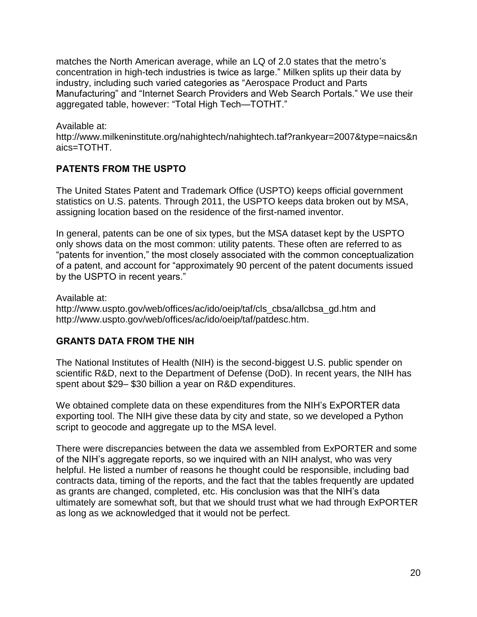matches the North American average, while an LQ of 2.0 states that the metro's concentration in high-tech industries is twice as large." Milken splits up their data by industry, including such varied categories as "Aerospace Product and Parts Manufacturing" and "Internet Search Providers and Web Search Portals." We use their aggregated table, however: "Total High Tech—TOTHT."

Available at: [http://www.milkeninstitute.org/nahightech/nahightech.taf?rankyear=2007&type=naics&n](http://www.milkeninstitute.org/nahightech/nahightech.taf?rankyear=2007&type=naics&naics=TOTHT) [aics=TOTHT.](http://www.milkeninstitute.org/nahightech/nahightech.taf?rankyear=2007&type=naics&naics=TOTHT)

# **PATENTS FROM THE USPTO**

The United States Patent and Trademark Office (USPTO) keeps official government statistics on U.S. patents. Through 2011, the USPTO keeps data broken out by MSA, assigning location based on the residence of the first-named inventor.

In general, patents can be one of six types, but the MSA dataset kept by the USPTO only shows data on the most common: utility patents. These often are referred to as "patents for invention," the most closely associated with the common conceptualization of a patent, and account for "approximately 90 percent of the patent documents issued by the USPTO in recent years."

Available at: [http://www.uspto.gov/web/offices/ac/ido/oeip/taf/cls\\_cbsa/allcbsa\\_gd.htm](http://www.uspto.gov/web/offices/ac/ido/oeip/taf/cls_cbsa/allcbsa_gd.htm) and [http://www.uspto.gov/web/offices/ac/ido/oeip/taf/patdesc.htm.](http://www.uspto.gov/web/offices/ac/ido/oeip/taf/patdesc.htm)

### **GRANTS DATA FROM THE NIH**

The National Institutes of Health (NIH) is the second-biggest U.S. public spender on scientific R&D, next to the Department of Defense (DoD). In recent years, the NIH has spent about \$29– \$30 billion a year on R&D expenditures.

We obtained complete data on these expenditures from the NIH's ExPORTER data exporting tool. The NIH give these data by city and state, so we developed a Python script to geocode and aggregate up to the MSA level.

There were discrepancies between the data we assembled from ExPORTER and some of the NIH's aggregate reports, so we inquired with an NIH analyst, who was very helpful. He listed a number of reasons he thought could be responsible, including bad contracts data, timing of the reports, and the fact that the tables frequently are updated as grants are changed, completed, etc. His conclusion was that the NIH's data ultimately are somewhat soft, but that we should trust what we had through ExPORTER as long as we acknowledged that it would not be perfect.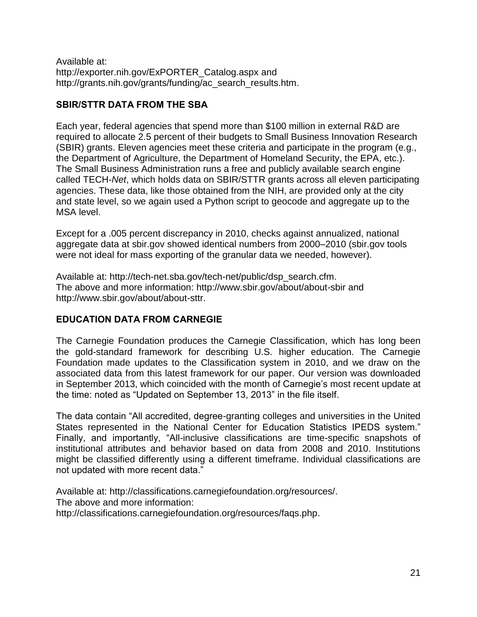Available at: [http://exporter.nih.gov/ExPORTER\\_Catalog.aspx](http://exporter.nih.gov/ExPORTER_Catalog.aspx) and [http://grants.nih.gov/grants/funding/ac\\_search\\_results.htm.](http://grants.nih.gov/grants/funding/ac_search_results.htm)

# **SBIR/STTR DATA FROM THE SBA**

Each year, federal agencies that spend more than \$100 million in external R&D are required to allocate 2.5 percent of their budgets to Small Business Innovation Research (SBIR) grants. Eleven agencies meet these criteria and participate in the program (e.g., the Department of Agriculture, the Department of Homeland Security, the EPA, etc.). The Small Business Administration runs a free and publicly available search engine called TECH-*Net*, which holds data on SBIR/STTR grants across all eleven participating agencies. These data, like those obtained from the NIH, are provided only at the city and state level, so we again used a Python script to geocode and aggregate up to the MSA level.

Except for a .005 percent discrepancy in 2010, checks against annualized, national aggregate data at sbir.gov showed identical numbers from 2000–2010 (sbir.gov tools were not ideal for mass exporting of the granular data we needed, however).

Available at: [http://tech-net.sba.gov/tech-net/public/dsp\\_search.cfm.](http://tech-net.sba.gov/tech-net/public/dsp_search.cfm) The above and more information: <http://www.sbir.gov/about/about-sbir> and [http://www.sbir.gov/about/about-sttr.](http://www.sbir.gov/about/about-sttr)

# **EDUCATION DATA FROM CARNEGIE**

The Carnegie Foundation produces the Carnegie Classification, which has long been the gold-standard framework for describing U.S. higher education. The Carnegie Foundation made updates to the Classification system in 2010, and we draw on the associated data from this latest framework for our paper. Our version was downloaded in September 2013, which coincided with the month of Carnegie's most recent update at the time: noted as "Updated on September 13, 2013" in the file itself.

The data contain "All accredited, degree-granting colleges and universities in the United States represented in the National Center for Education Statistics IPEDS system." Finally, and importantly, "All-inclusive classifications are time-specific snapshots of institutional attributes and behavior based on data from 2008 and 2010. Institutions might be classified differently using a different timeframe. Individual classifications are not updated with more recent data."

Available at: [http://classifications.carnegiefoundation.org/resources/.](http://classifications.carnegiefoundation.org/resources/) The above and more information: [http://classifications.carnegiefoundation.org/resources/faqs.php.](http://classifications.carnegiefoundation.org/resources/faqs.php)